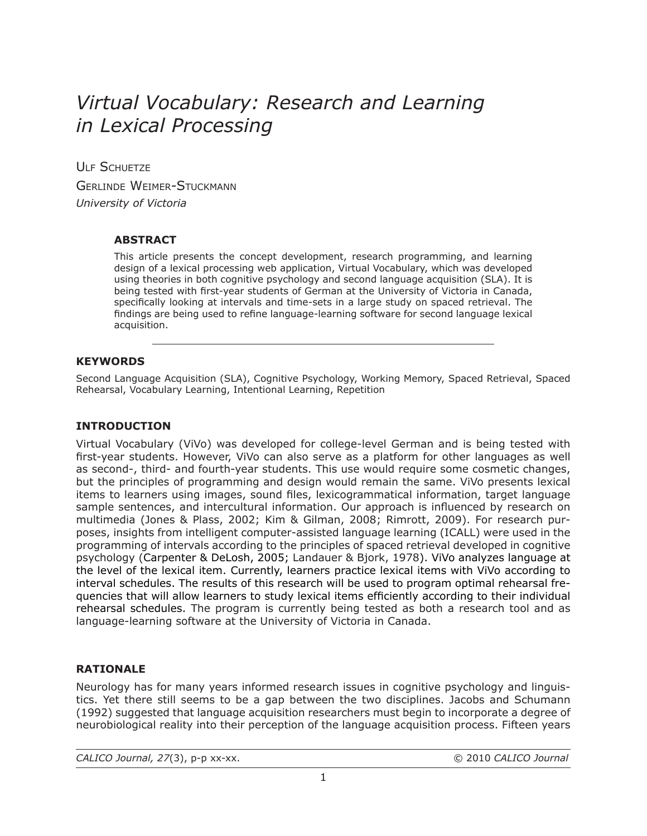# *Virtual Vocabulary: Research and Learning in Lexical Processing*

ULF SCHUFTZE Gerlinde Weimer-Stuckmann *University of Victoria*

# **ABSTRACT**

This article presents the concept development, research programming, and learning design of a lexical processing web application, Virtual Vocabulary, which was developed using theories in both cognitive psychology and second language acquisition (SLA). It is being tested with first-year students of German at the University of Victoria in Canada, specifically looking at intervals and time-sets in a large study on spaced retrieval. The findings are being used to refine language-learning software for second language lexical acquisition.

# **KEYWORDS**

Second Language Acquisition (SLA), Cognitive Psychology, Working Memory, Spaced Retrieval, Spaced Rehearsal, Vocabulary Learning, Intentional Learning, Repetition

### **INTRODUCTION**

Virtual Vocabulary (ViVo) was developed for college-level German and is being tested with first-year students. However, ViVo can also serve as a platform for other languages as well as second-, third- and fourth-year students. This use would require some cosmetic changes, but the principles of programming and design would remain the same. ViVo presents lexical items to learners using images, sound files, lexicogrammatical information, target language sample sentences, and intercultural information. Our approach is influenced by research on multimedia (Jones & Plass, 2002; Kim & Gilman, 2008; Rimrott, 2009). For research purposes, insights from intelligent computer-assisted language learning (ICALL) were used in the programming of intervals according to the principles of spaced retrieval developed in cognitive psychology (Carpenter & DeLosh, 2005; Landauer & Bjork, 1978). ViVo analyzes language at the level of the lexical item. Currently, learners practice lexical items with ViVo according to interval schedules. The results of this research will be used to program optimal rehearsal frequencies that will allow learners to study lexical items efficiently according to their individual rehearsal schedules. The program is currently being tested as both a research tool and as language-learning software at the University of Victoria in Canada.

### **RATIONALE**

Neurology has for many years informed research issues in cognitive psychology and linguistics. Yet there still seems to be a gap between the two disciplines. Jacobs and Schumann (1992) suggested that language acquisition researchers must begin to incorporate a degree of neurobiological reality into their perception of the language acquisition process. Fifteen years

*CALICO Journal, 27*(3), p-p xx-xx. © 2010 *CALICO Journal*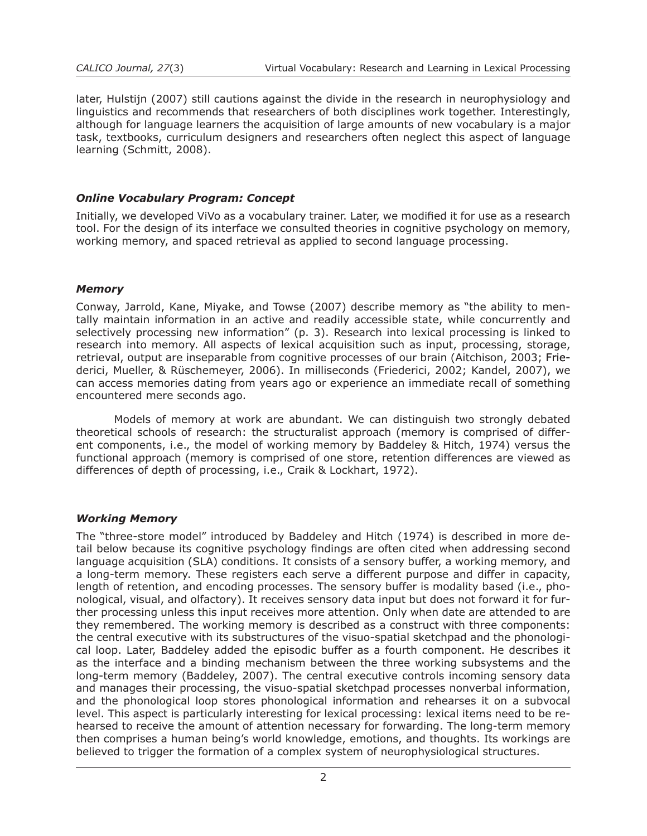later, Hulstijn (2007) still cautions against the divide in the research in neurophysiology and linguistics and recommends that researchers of both disciplines work together. Interestingly, although for language learners the acquisition of large amounts of new vocabulary is a major task, textbooks, curriculum designers and researchers often neglect this aspect of language learning (Schmitt, 2008).

# *Online Vocabulary Program: Concept*

Initially, we developed ViVo as a vocabulary trainer. Later, we modified it for use as a research tool. For the design of its interface we consulted theories in cognitive psychology on memory, working memory, and spaced retrieval as applied to second language processing.

### *Memory*

Conway, Jarrold, Kane, Miyake, and Towse (2007) describe memory as "the ability to mentally maintain information in an active and readily accessible state, while concurrently and selectively processing new information" (p. 3). Research into lexical processing is linked to research into memory. All aspects of lexical acquisition such as input, processing, storage, retrieval, output are inseparable from cognitive processes of our brain (Aitchison, 2003; Friederici, Mueller, & Rüschemeyer, 2006). In milliseconds (Friederici, 2002; Kandel, 2007), we can access memories dating from years ago or experience an immediate recall of something encountered mere seconds ago.

Models of memory at work are abundant. We can distinguish two strongly debated theoretical schools of research: the structuralist approach (memory is comprised of different components, i.e., the model of working memory by Baddeley & Hitch, 1974) versus the functional approach (memory is comprised of one store, retention differences are viewed as differences of depth of processing, i.e., Craik & Lockhart, 1972).

### *Working Memory*

The "three-store model" introduced by Baddeley and Hitch (1974) is described in more detail below because its cognitive psychology findings are often cited when addressing second language acquisition (SLA) conditions. It consists of a sensory buffer, a working memory, and a long-term memory. These registers each serve a different purpose and differ in capacity, length of retention, and encoding processes. The sensory buffer is modality based (i.e., phonological, visual, and olfactory). It receives sensory data input but does not forward it for further processing unless this input receives more attention. Only when date are attended to are they remembered. The working memory is described as a construct with three components: the central executive with its substructures of the visuo-spatial sketchpad and the phonological loop. Later, Baddeley added the episodic buffer as a fourth component. He describes it as the interface and a binding mechanism between the three working subsystems and the long-term memory (Baddeley, 2007). The central executive controls incoming sensory data and manages their processing, the visuo-spatial sketchpad processes nonverbal information, and the phonological loop stores phonological information and rehearses it on a subvocal level. This aspect is particularly interesting for lexical processing: lexical items need to be rehearsed to receive the amount of attention necessary for forwarding. The long-term memory then comprises a human being's world knowledge, emotions, and thoughts. Its workings are believed to trigger the formation of a complex system of neurophysiological structures.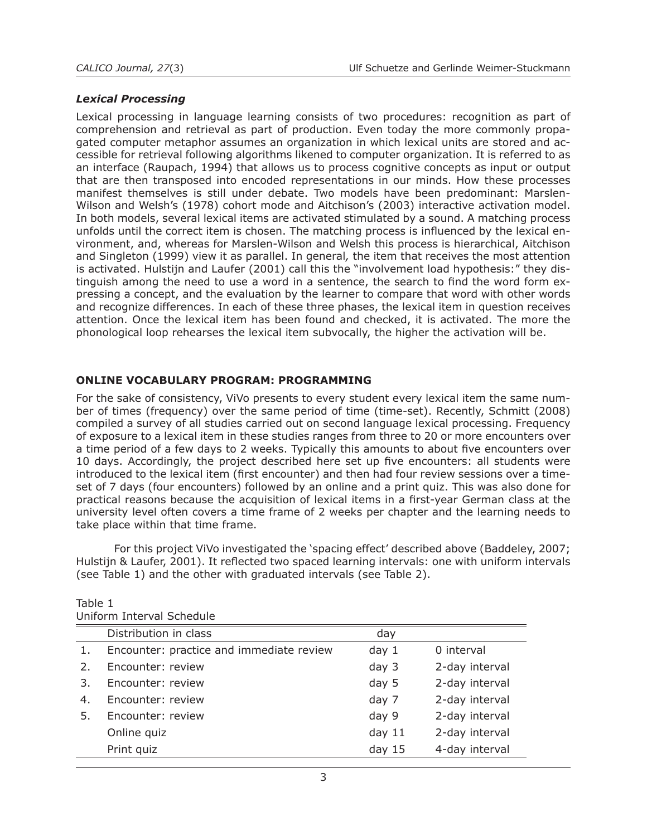### *Lexical Processing*

Lexical processing in language learning consists of two procedures: recognition as part of comprehension and retrieval as part of production. Even today the more commonly propagated computer metaphor assumes an organization in which lexical units are stored and accessible for retrieval following algorithms likened to computer organization. It is referred to as an interface (Raupach, 1994) that allows us to process cognitive concepts as input or output that are then transposed into encoded representations in our minds. How these processes manifest themselves is still under debate. Two models have been predominant: Marslen-Wilson and Welsh's (1978) cohort mode and Aitchison's (2003) interactive activation model. In both models, several lexical items are activated stimulated by a sound. A matching process unfolds until the correct item is chosen. The matching process is influenced by the lexical environment, and, whereas for Marslen-Wilson and Welsh this process is hierarchical, Aitchison and Singleton (1999) view it as parallel. In general*,* the item that receives the most attention is activated. Hulstijn and Laufer (2001) call this the "involvement load hypothesis:" they distinguish among the need to use a word in a sentence, the search to find the word form expressing a concept, and the evaluation by the learner to compare that word with other words and recognize differences. In each of these three phases, the lexical item in question receives attention. Once the lexical item has been found and checked, it is activated. The more the phonological loop rehearses the lexical item subvocally, the higher the activation will be.

# **ONLINE VOCABULARY PROGRAM: PROGRAMMING**

For the sake of consistency, ViVo presents to every student every lexical item the same number of times (frequency) over the same period of time (time-set). Recently, Schmitt (2008) compiled a survey of all studies carried out on second language lexical processing. Frequency of exposure to a lexical item in these studies ranges from three to 20 or more encounters over a time period of a few days to 2 weeks. Typically this amounts to about five encounters over 10 days. Accordingly, the project described here set up five encounters: all students were introduced to the lexical item (first encounter) and then had four review sessions over a timeset of 7 days (four encounters) followed by an online and a print quiz. This was also done for practical reasons because the acquisition of lexical items in a first-year German class at the university level often covers a time frame of 2 weeks per chapter and the learning needs to take place within that time frame.

For this project ViVo investigated the 'spacing effect' described above (Baddeley, 2007; Hulstijn & Laufer, 2001). It reflected two spaced learning intervals: one with uniform intervals (see Table 1) and the other with graduated intervals (see Table 2).

| Uniform Interval Schedule |                                          |                  |                |
|---------------------------|------------------------------------------|------------------|----------------|
|                           | Distribution in class                    | day              |                |
| $\mathbf{1}$ .            | Encounter: practice and immediate review | day <sub>1</sub> | 0 interval     |
| 2.                        | Encounter: review                        | day 3            | 2-day interval |
| 3.                        | Encounter: review                        | day 5            | 2-day interval |
| 4.                        | Encounter: review                        | day 7            | 2-day interval |
| 5.                        | Encounter: review                        | day 9            | 2-day interval |
|                           | Online quiz                              | day $11$         | 2-day interval |
|                           | Print quiz                               | day $15$         | 4-day interval |

Table 1 Uniform Interval Schedule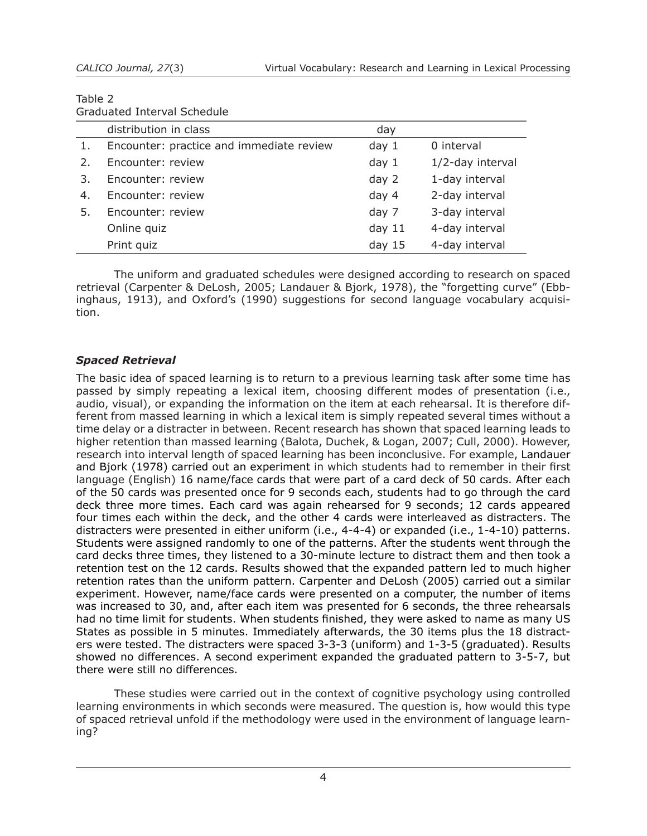| Table 2                     |  |
|-----------------------------|--|
| Graduated Interval Schedule |  |

|    | distribution in class                    | day              |                  |  |
|----|------------------------------------------|------------------|------------------|--|
| 1. | Encounter: practice and immediate review | day <sub>1</sub> | 0 interval       |  |
| 2. | Encounter: review                        | day <sub>1</sub> | 1/2-day interval |  |
| 3. | Encounter: review                        | day 2            | 1-day interval   |  |
| 4. | Encounter: review                        | day 4            | 2-day interval   |  |
| 5. | Encounter: review                        | day 7            | 3-day interval   |  |
|    | Online quiz                              | day $11$         | 4-day interval   |  |
|    | Print quiz                               | day $15$         | 4-day interval   |  |
|    |                                          |                  |                  |  |

The uniform and graduated schedules were designed according to research on spaced retrieval (Carpenter & DeLosh, 2005; Landauer & Bjork, 1978), the "forgetting curve" (Ebbinghaus, 1913), and Oxford's (1990) suggestions for second language vocabulary acquisition.

# *Spaced Retrieval*

The basic idea of spaced learning is to return to a previous learning task after some time has passed by simply repeating a lexical item, choosing different modes of presentation (i.e., audio, visual), or expanding the information on the item at each rehearsal. It is therefore different from massed learning in which a lexical item is simply repeated several times without a time delay or a distracter in between. Recent research has shown that spaced learning leads to higher retention than massed learning (Balota, Duchek, & Logan, 2007; Cull, 2000). However, research into interval length of spaced learning has been inconclusive. For example, Landauer and Bjork (1978) carried out an experiment in which students had to remember in their first language (English) 16 name/face cards that were part of a card deck of 50 cards. After each of the 50 cards was presented once for 9 seconds each, students had to go through the card deck three more times. Each card was again rehearsed for 9 seconds; 12 cards appeared four times each within the deck, and the other 4 cards were interleaved as distracters. The distracters were presented in either uniform (i.e., 4-4-4) or expanded (i.e., 1-4-10) patterns. Students were assigned randomly to one of the patterns. After the students went through the card decks three times, they listened to a 30-minute lecture to distract them and then took a retention test on the 12 cards. Results showed that the expanded pattern led to much higher retention rates than the uniform pattern. Carpenter and DeLosh (2005) carried out a similar experiment. However, name/face cards were presented on a computer, the number of items was increased to 30, and, after each item was presented for 6 seconds, the three rehearsals had no time limit for students. When students finished, they were asked to name as many US States as possible in 5 minutes. Immediately afterwards, the 30 items plus the 18 distracters were tested. The distracters were spaced 3-3-3 (uniform) and 1-3-5 (graduated). Results showed no differences. A second experiment expanded the graduated pattern to 3-5-7, but there were still no differences.

These studies were carried out in the context of cognitive psychology using controlled learning environments in which seconds were measured. The question is, how would this type of spaced retrieval unfold if the methodology were used in the environment of language learning?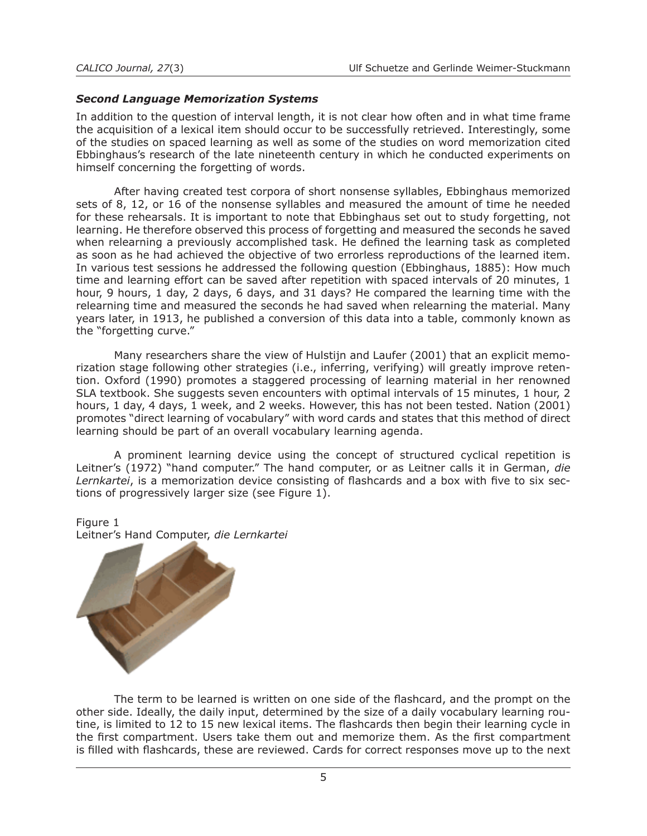### *Second Language Memorization Systems*

In addition to the question of interval length, it is not clear how often and in what time frame the acquisition of a lexical item should occur to be successfully retrieved. Interestingly, some of the studies on spaced learning as well as some of the studies on word memorization cited Ebbinghaus's research of the late nineteenth century in which he conducted experiments on himself concerning the forgetting of words.

After having created test corpora of short nonsense syllables, Ebbinghaus memorized sets of 8, 12, or 16 of the nonsense syllables and measured the amount of time he needed for these rehearsals. It is important to note that Ebbinghaus set out to study forgetting, not learning. He therefore observed this process of forgetting and measured the seconds he saved when relearning a previously accomplished task. He defined the learning task as completed as soon as he had achieved the objective of two errorless reproductions of the learned item. In various test sessions he addressed the following question (Ebbinghaus, 1885): How much time and learning effort can be saved after repetition with spaced intervals of 20 minutes, 1 hour, 9 hours, 1 day, 2 days, 6 days, and 31 days? He compared the learning time with the relearning time and measured the seconds he had saved when relearning the material. Many years later, in 1913, he published a conversion of this data into a table, commonly known as the "forgetting curve."

Many researchers share the view of Hulstijn and Laufer (2001) that an explicit memorization stage following other strategies (i.e., inferring, verifying) will greatly improve retention. Oxford (1990) promotes a staggered processing of learning material in her renowned SLA textbook. She suggests seven encounters with optimal intervals of 15 minutes, 1 hour, 2 hours, 1 day, 4 days, 1 week, and 2 weeks. However, this has not been tested. Nation (2001) promotes "direct learning of vocabulary" with word cards and states that this method of direct learning should be part of an overall vocabulary learning agenda.

A prominent learning device using the concept of structured cyclical repetition is Leitner's (1972) "hand computer." The hand computer, or as Leitner calls it in German, *die Lernkartei*, is a memorization device consisting of flashcards and a box with five to six sections of progressively larger size (see Figure 1).

Figure 1



The term to be learned is written on one side of the flashcard, and the prompt on the other side. Ideally, the daily input, determined by the size of a daily vocabulary learning routine, is limited to 12 to 15 new lexical items. The flashcards then begin their learning cycle in the first compartment. Users take them out and memorize them. As the first compartment is filled with flashcards, these are reviewed. Cards for correct responses move up to the next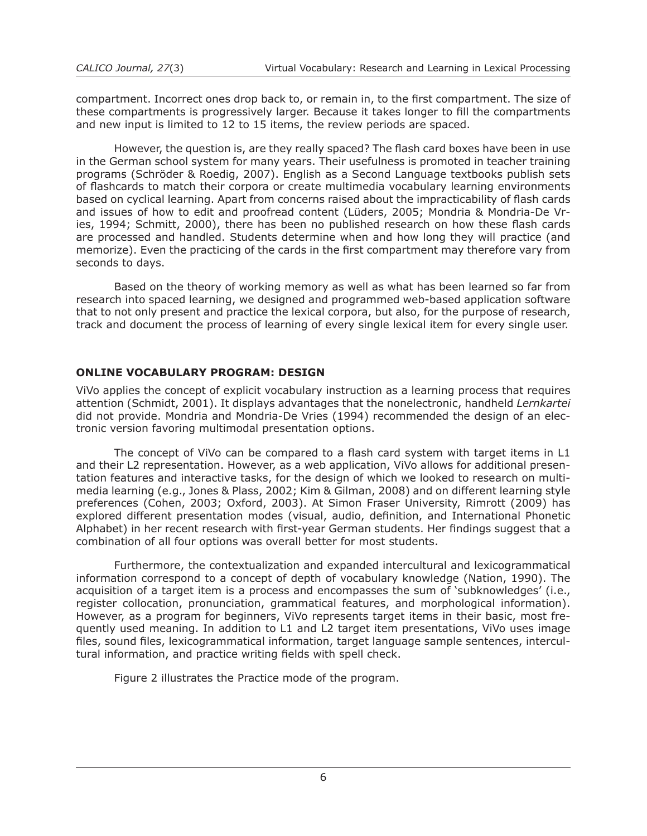compartment. Incorrect ones drop back to, or remain in, to the first compartment. The size of these compartments is progressively larger. Because it takes longer to fill the compartments and new input is limited to 12 to 15 items, the review periods are spaced.

However, the question is, are they really spaced? The flash card boxes have been in use in the German school system for many years. Their usefulness is promoted in teacher training programs (Schröder & Roedig, 2007). English as a Second Language textbooks publish sets of flashcards to match their corpora or create multimedia vocabulary learning environments based on cyclical learning. Apart from concerns raised about the impracticability of flash cards and issues of how to edit and proofread content (Lüders, 2005; Mondria & Mondria-De Vries, 1994; Schmitt, 2000), there has been no published research on how these flash cards are processed and handled. Students determine when and how long they will practice (and memorize). Even the practicing of the cards in the first compartment may therefore vary from seconds to days.

Based on the theory of working memory as well as what has been learned so far from research into spaced learning, we designed and programmed web-based application software that to not only present and practice the lexical corpora, but also, for the purpose of research, track and document the process of learning of every single lexical item for every single user.

# **ONLINE VOCABULARY PROGRAM: DESIGN**

ViVo applies the concept of explicit vocabulary instruction as a learning process that requires attention (Schmidt, 2001). It displays advantages that the nonelectronic, handheld *Lernkartei* did not provide. Mondria and Mondria-De Vries (1994) recommended the design of an electronic version favoring multimodal presentation options.

The concept of ViVo can be compared to a flash card system with target items in L1 and their L2 representation. However, as a web application, ViVo allows for additional presentation features and interactive tasks, for the design of which we looked to research on multimedia learning (e.g., Jones & Plass, 2002; Kim & Gilman, 2008) and on different learning style preferences (Cohen, 2003; Oxford, 2003). At Simon Fraser University, Rimrott (2009) has explored different presentation modes (visual, audio, definition, and International Phonetic Alphabet) in her recent research with first-year German students. Her findings suggest that a combination of all four options was overall better for most students.

Furthermore, the contextualization and expanded intercultural and lexicogrammatical information correspond to a concept of depth of vocabulary knowledge (Nation, 1990). The acquisition of a target item is a process and encompasses the sum of 'subknowledges' (i.e., register collocation, pronunciation, grammatical features, and morphological information). However, as a program for beginners, ViVo represents target items in their basic, most frequently used meaning. In addition to L1 and L2 target item presentations, ViVo uses image files, sound files, lexicogrammatical information, target language sample sentences, intercultural information, and practice writing fields with spell check.

Figure 2 illustrates the Practice mode of the program.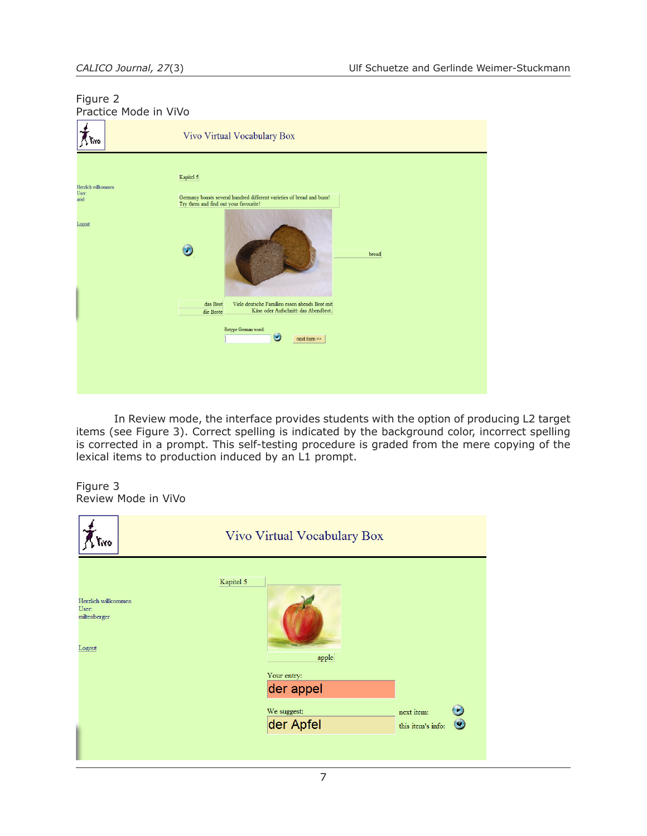# Figure 2 Practice Mode in ViVo



In Review mode, the interface provides students with the option of producing L2 target items (see Figure 3). Correct spelling is indicated by the background color, incorrect spelling is corrected in a prompt. This self-testing procedure is graded from the mere copying of the lexical items to production induced by an L1 prompt.

#### Figure 3 Review Mode in ViVo

| Tiro                                                   | Vivo Virtual Vocabulary Box                                                                  |  |  |
|--------------------------------------------------------|----------------------------------------------------------------------------------------------|--|--|
| Herzlich willkommen<br>User:<br>miltenberger<br>Logout | Kapitel 5<br>apple                                                                           |  |  |
|                                                        | Your entry:<br>der appel<br>We suggest:<br>next item:<br>der Apfel<br>this item's info:<br>w |  |  |
|                                                        |                                                                                              |  |  |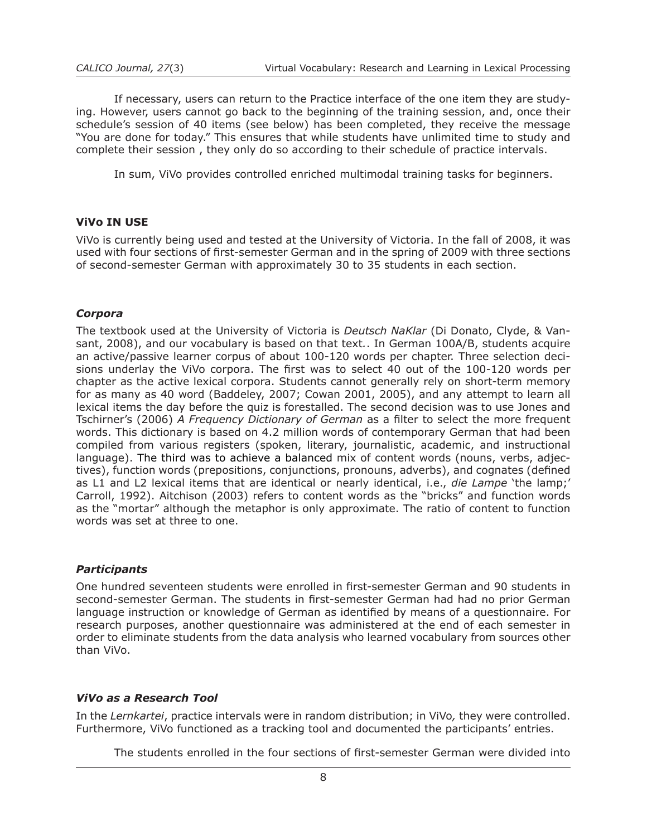If necessary, users can return to the Practice interface of the one item they are studying. However, users cannot go back to the beginning of the training session, and, once their schedule's session of 40 items (see below) has been completed, they receive the message "You are done for today." This ensures that while students have unlimited time to study and complete their session , they only do so according to their schedule of practice intervals.

In sum, ViVo provides controlled enriched multimodal training tasks for beginners.

### **ViVo IN USE**

ViVo is currently being used and tested at the University of Victoria. In the fall of 2008, it was used with four sections of first-semester German and in the spring of 2009 with three sections of second-semester German with approximately 30 to 35 students in each section.

### *Corpora*

The textbook used at the University of Victoria is *Deutsch NaKlar* (Di Donato, Clyde, & Vansant, 2008), and our vocabulary is based on that text*.*. In German 100A/B, students acquire an active/passive learner corpus of about 100-120 words per chapter. Three selection decisions underlay the ViVo corpora. The first was to select 40 out of the 100-120 words per chapter as the active lexical corpora. Students cannot generally rely on short-term memory for as many as 40 word (Baddeley, 2007; Cowan 2001, 2005), and any attempt to learn all lexical items the day before the quiz is forestalled. The second decision was to use Jones and Tschirner's (2006) *A Frequency Dictionary of German* as a filter to select the more frequent words. This dictionary is based on 4.2 million words of contemporary German that had been compiled from various registers (spoken, literary, journalistic, academic, and instructional language). The third was to achieve a balanced mix of content words (nouns, verbs, adjectives), function words (prepositions, conjunctions, pronouns, adverbs), and cognates (defined as L1 and L2 lexical items that are identical or nearly identical, i.e., *die Lampe* 'the lamp;' Carroll, 1992). Aitchison (2003) refers to content words as the "bricks" and function words as the "mortar" although the metaphor is only approximate. The ratio of content to function words was set at three to one.

### *Participants*

One hundred seventeen students were enrolled in first-semester German and 90 students in second-semester German. The students in first-semester German had had no prior German language instruction or knowledge of German as identified by means of a questionnaire. For research purposes, another questionnaire was administered at the end of each semester in order to eliminate students from the data analysis who learned vocabulary from sources other than ViVo.

### *ViVo as a Research Tool*

In the *Lernkartei*, practice intervals were in random distribution; in ViVo*,* they were controlled. Furthermore, ViVo functioned as a tracking tool and documented the participants' entries.

The students enrolled in the four sections of first-semester German were divided into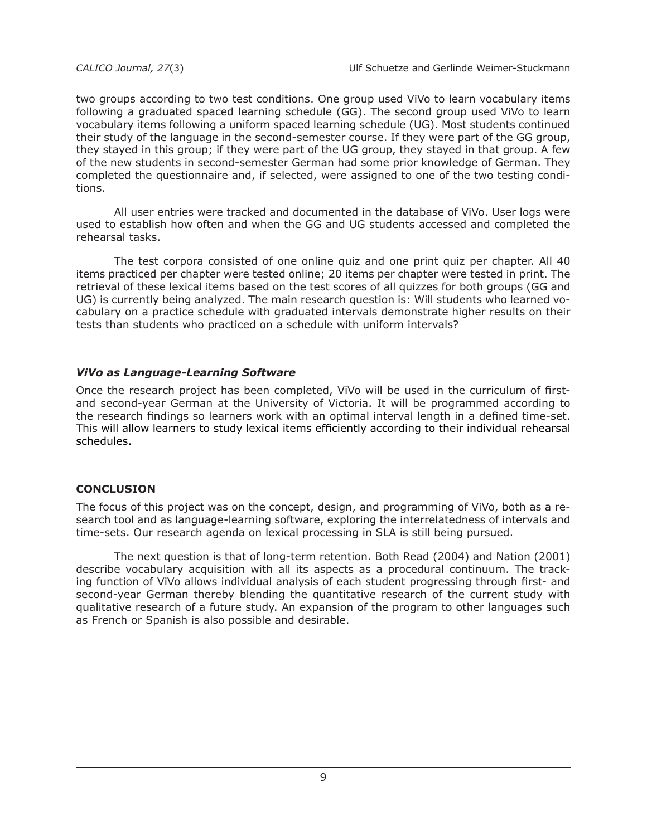two groups according to two test conditions. One group used ViVo to learn vocabulary items following a graduated spaced learning schedule (GG). The second group used ViVo to learn vocabulary items following a uniform spaced learning schedule (UG). Most students continued their study of the language in the second-semester course. If they were part of the GG group, they stayed in this group; if they were part of the UG group, they stayed in that group. A few of the new students in second-semester German had some prior knowledge of German. They completed the questionnaire and, if selected, were assigned to one of the two testing conditions.

All user entries were tracked and documented in the database of ViVo. User logs were used to establish how often and when the GG and UG students accessed and completed the rehearsal tasks.

The test corpora consisted of one online quiz and one print quiz per chapter. All 40 items practiced per chapter were tested online; 20 items per chapter were tested in print. The retrieval of these lexical items based on the test scores of all quizzes for both groups (GG and UG) is currently being analyzed. The main research question is: Will students who learned vocabulary on a practice schedule with graduated intervals demonstrate higher results on their tests than students who practiced on a schedule with uniform intervals?

# *ViVo as Language-Learning Software*

Once the research project has been completed, ViVo will be used in the curriculum of firstand second-year German at the University of Victoria. It will be programmed according to the research findings so learners work with an optimal interval length in a defined time-set. This will allow learners to study lexical items efficiently according to their individual rehearsal schedules.

# **CONCLUSION**

The focus of this project was on the concept, design, and programming of ViVo, both as a research tool and as language-learning software, exploring the interrelatedness of intervals and time-sets. Our research agenda on lexical processing in SLA is still being pursued.

The next question is that of long-term retention. Both Read (2004) and Nation (2001) describe vocabulary acquisition with all its aspects as a procedural continuum. The tracking function of ViVo allows individual analysis of each student progressing through first- and second-year German thereby blending the quantitative research of the current study with qualitative research of a future study. An expansion of the program to other languages such as French or Spanish is also possible and desirable.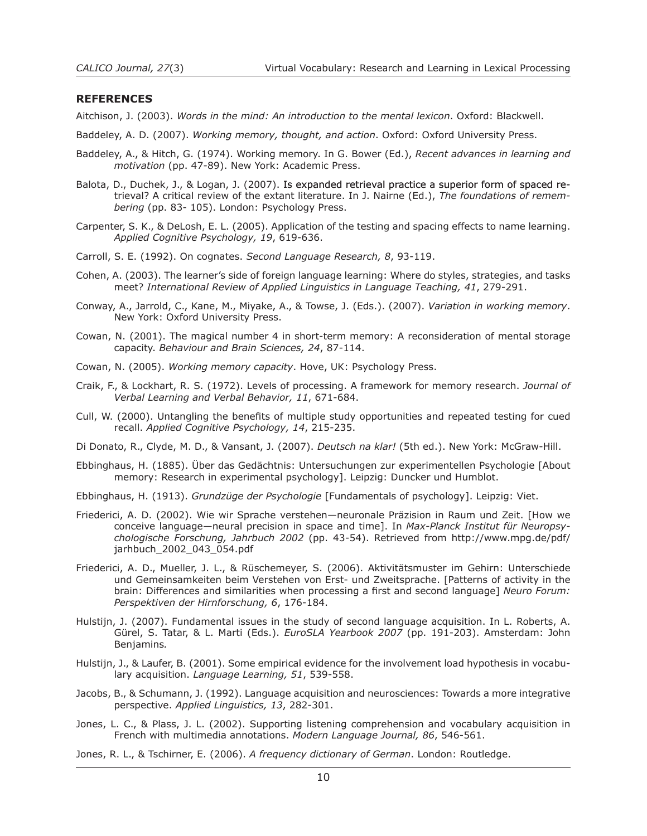#### **REFERENCES**

Aitchison, J. (2003). *Words in the mind: An introduction to the mental lexicon*. Oxford: Blackwell.

Baddeley, A. D. (2007). *Working memory, thought, and action*. Oxford: Oxford University Press.

- Baddeley, A., & Hitch, G. (1974). Working memory. In G. Bower (Ed.), *Recent advances in learning and motivation* (pp. 47-89). New York: Academic Press.
- Balota, D., Duchek, J., & Logan, J. (2007). Is expanded retrieval practice a superior form of spaced retrieval? A critical review of the extant literature. In J. Nairne (Ed.), *The foundations of remembering* (pp. 83- 105). London: Psychology Press.
- Carpenter, S. K., & DeLosh, E. L. (2005). Application of the testing and spacing effects to name learning. *Applied Cognitive Psychology, 19*, 619-636.
- Carroll, S. E. (1992). On cognates. *Second Language Research, 8*, 93-119.
- Cohen, A. (2003). The learner's side of foreign language learning: Where do styles, strategies, and tasks meet? *International Review of Applied Linguistics in Language Teaching, 41*, 279-291.
- Conway, A., Jarrold, C., Kane, M., Miyake, A., & Towse, J. (Eds.). (2007). *Variation in working memory*. New York: Oxford University Press.
- Cowan, N. (2001). The magical number 4 in short-term memory: A reconsideration of mental storage capacity. *Behaviour and Brain Sciences, 24*, 87-114.
- Cowan, N. (2005). *Working memory capacity*. Hove, UK: Psychology Press.
- Craik, F., & Lockhart, R. S. (1972). Levels of processing. A framework for memory research. *Journal of Verbal Learning and Verbal Behavior, 11*, 671-684.
- Cull, W. (2000). Untangling the benefits of multiple study opportunities and repeated testing for cued recall. *Applied Cognitive Psychology, 14*, 215-235.

Di Donato, R., Clyde, M. D., & Vansant, J. (2007). *Deutsch na klar!* (5th ed.). New York: McGraw-Hill.

- Ebbinghaus, H. (1885). Über das Gedächtnis: Untersuchungen zur experimentellen Psychologie [About memory: Research in experimental psychology]. Leipzig: Duncker und Humblot.
- Ebbinghaus, H. (1913). *Grundzüge der Psychologie* [Fundamentals of psychology]. Leipzig: Viet.
- Friederici, A. D. (2002). Wie wir Sprache verstehen—neuronale Präzision in Raum und Zeit. [How we conceive language—neural precision in space and time]. In *Max-Planck Institut für Neuropsychologische Forschung, Jahrbuch 2002* (pp. 43-54). Retrieved from http://www.mpg.de/pdf/ jarhbuch\_2002\_043\_054.pdf
- Friederici, A. D., Mueller, J. L., & Rüschemeyer, S. (2006). Aktivitätsmuster im Gehirn: Unterschiede und Gemeinsamkeiten beim Verstehen von Erst- und Zweitsprache. [Patterns of activity in the brain: Differences and similarities when processing a first and second language] *Neuro Forum: Perspektiven der Hirnforschung, 6*, 176-184.
- Hulstijn, J. (2007). Fundamental issues in the study of second language acquisition. In L. Roberts, A. Gürel, S. Tatar, & L. Marti (Eds.). *EuroSLA Yearbook 2007* (pp. 191-203). Amsterdam: John Benjamins*.*
- Hulstijn, J., & Laufer, B. (2001). Some empirical evidence for the involvement load hypothesis in vocabulary acquisition. *Language Learning, 51*, 539-558.
- Jacobs, B., & Schumann, J. (1992). Language acquisition and neurosciences: Towards a more integrative perspective. *Applied Linguistics, 13*, 282-301.
- Jones, L. C., & Plass, J. L. (2002). Supporting listening comprehension and vocabulary acquisition in French with multimedia annotations. *Modern Language Journal, 86*, 546-561.

Jones, R. L., & Tschirner, E. (2006). *A frequency dictionary of German*. London: Routledge.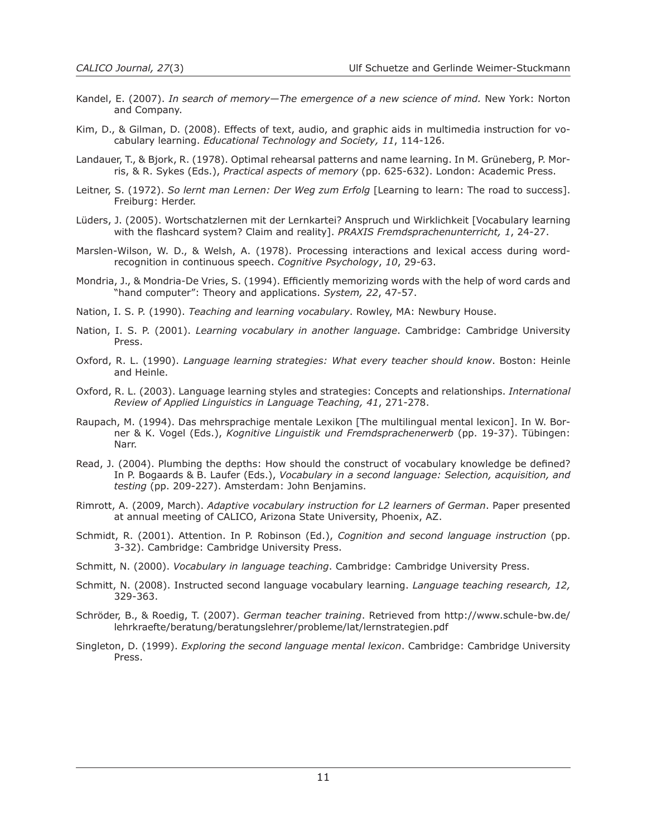- Kandel, E. (2007). *In search of memory—The emergence of a new science of mind.* New York: Norton and Company.
- Kim, D., & Gilman, D. (2008). Effects of text, audio, and graphic aids in multimedia instruction for vocabulary learning. *Educational Technology and Society, 11*, 114-126.
- Landauer, T., & Bjork, R. (1978). Optimal rehearsal patterns and name learning. In M. Grüneberg, P. Morris, & R. Sykes (Eds.), *Practical aspects of memory* (pp. 625-632). London: Academic Press.
- Leitner, S. (1972). *So lernt man Lernen: Der Weg zum Erfolg* [Learning to learn: The road to success]. Freiburg: Herder.
- Lüders, J. (2005). Wortschatzlernen mit der Lernkartei? Anspruch und Wirklichkeit [Vocabulary learning with the flashcard system? Claim and reality]. *PRAXIS Fremdsprachenunterricht, 1*, 24-27.
- Marslen-Wilson, W. D., & Welsh, A. (1978). Processing interactions and lexical access during wordrecognition in continuous speech. *Cognitive Psychology*, *10*, 29-63.
- Mondria, J., & Mondria-De Vries, S. (1994). Efficiently memorizing words with the help of word cards and "hand computer": Theory and applications. *System, 22*, 47-57.
- Nation, I. S. P. (1990). *Teaching and learning vocabulary*. Rowley, MA: Newbury House.
- Nation, I. S. P. (2001). *Learning vocabulary in another language*. Cambridge: Cambridge University Press.
- Oxford, R. L. (1990). *Language learning strategies: What every teacher should know*. Boston: Heinle and Heinle.
- Oxford, R. L. (2003). Language learning styles and strategies: Concepts and relationships. *International Review of Applied Linguistics in Language Teaching, 41*, 271-278.
- Raupach, M. (1994). Das mehrsprachige mentale Lexikon [The multilingual mental lexicon]. In W. Borner & K. Vogel (Eds.), *Kognitive Linguistik und Fremdsprachenerwerb* (pp. 19-37). Tübingen: Narr.
- Read, J. (2004). Plumbing the depths: How should the construct of vocabulary knowledge be defined? In P. Bogaards & B. Laufer (Eds.), *Vocabulary in a second language: Selection, acquisition, and testing* (pp. 209-227). Amsterdam: John Benjamins.
- Rimrott, A. (2009, March). *Adaptive vocabulary instruction for L2 learners of German*. Paper presented at annual meeting of CALICO, Arizona State University, Phoenix, AZ.
- Schmidt, R. (2001). Attention. In P. Robinson (Ed.), *Cognition and second language instruction* (pp. 3-32). Cambridge: Cambridge University Press.
- Schmitt, N. (2000). *Vocabulary in language teaching*. Cambridge: Cambridge University Press.
- Schmitt, N. (2008). Instructed second language vocabulary learning. *Language teaching research, 12,* 329-363.
- Schröder, B., & Roedig, T. (2007). *German teacher training*. Retrieved from http://www.schule-bw.de/ lehrkraefte/beratung/beratungslehrer/probleme/lat/lernstrategien.pdf
- Singleton, D. (1999). *Exploring the second language mental lexicon*. Cambridge: Cambridge University Press.